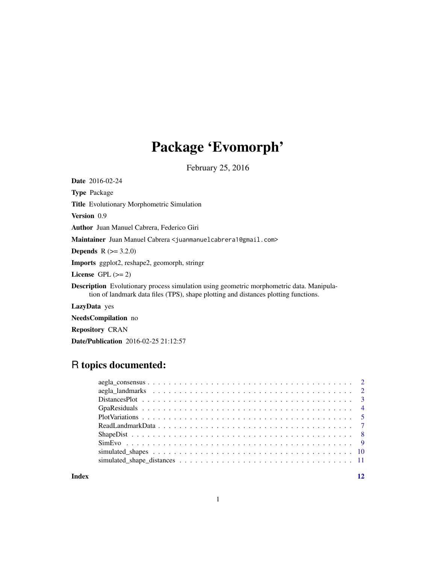## Package 'Evomorph'

February 25, 2016

Date 2016-02-24 Type Package Title Evolutionary Morphometric Simulation Version 0.9 Author Juan Manuel Cabrera, Federico Giri Maintainer Juan Manuel Cabrera <juanmanuelcabrera1@gmail.com> **Depends** R  $(>= 3.2.0)$ Imports ggplot2, reshape2, geomorph, stringr License GPL  $(>= 2)$ Description Evolutionary process simulation using geometric morphometric data. Manipulation of landmark data files (TPS), shape plotting and distances plotting functions. LazyData yes

NeedsCompilation no

Repository CRAN

Date/Publication 2016-02-25 21:12:57

## R topics documented:

**Index** [12](#page-11-0)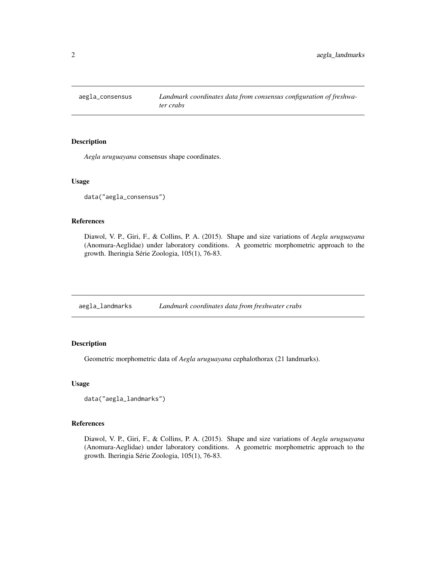<span id="page-1-0"></span>

*Aegla uruguayana* consensus shape coordinates.

#### Usage

```
data("aegla_consensus")
```
#### References

Diawol, V. P., Giri, F., & Collins, P. A. (2015). Shape and size variations of *Aegla uruguayana* (Anomura-Aeglidae) under laboratory conditions. A geometric morphometric approach to the growth. Iheringia Série Zoologia, 105(1), 76-83.

| aegla_landmarks | Landmark coordinates data from freshwater crabs |  |  |  |  |
|-----------------|-------------------------------------------------|--|--|--|--|
|-----------------|-------------------------------------------------|--|--|--|--|

## Description

Geometric morphometric data of *Aegla uruguayana* cephalothorax (21 landmarks).

## Usage

```
data("aegla_landmarks")
```
#### References

Diawol, V. P., Giri, F., & Collins, P. A. (2015). Shape and size variations of *Aegla uruguayana* (Anomura-Aeglidae) under laboratory conditions. A geometric morphometric approach to the growth. Iheringia Série Zoologia, 105(1), 76-83.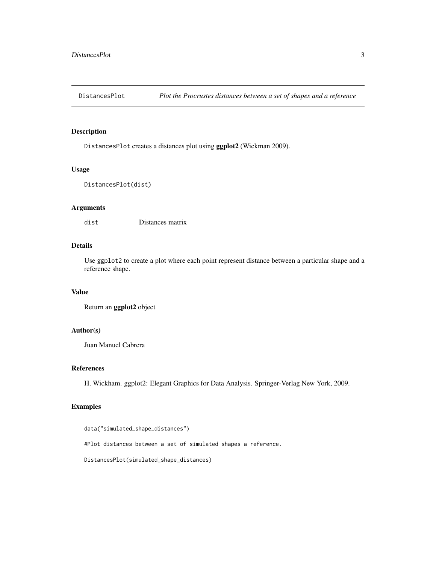<span id="page-2-0"></span>

DistancesPlot creates a distances plot using ggplot2 (Wickman 2009).

## Usage

```
DistancesPlot(dist)
```
## Arguments

dist Distances matrix

## Details

Use ggplot2 to create a plot where each point represent distance between a particular shape and a reference shape.

## Value

Return an ggplot2 object

## Author(s)

Juan Manuel Cabrera

## References

H. Wickham. ggplot2: Elegant Graphics for Data Analysis. Springer-Verlag New York, 2009.

## Examples

```
data("simulated_shape_distances")
#Plot distances between a set of simulated shapes a reference.
DistancesPlot(simulated_shape_distances)
```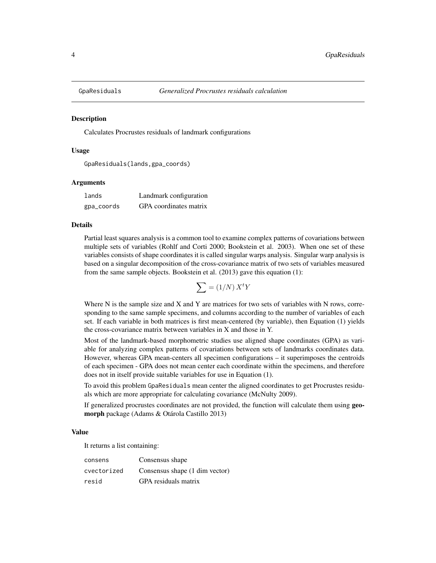<span id="page-3-0"></span>

Calculates Procrustes residuals of landmark configurations

#### Usage

```
GpaResiduals(lands,gpa_coords)
```
#### Arguments

| lands      | Landmark configuration |
|------------|------------------------|
| gpa_coords | GPA coordinates matrix |

#### Details

Partial least squares analysis is a common tool to examine complex patterns of covariations between multiple sets of variables (Rohlf and Corti 2000; Bookstein et al. 2003). When one set of these variables consists of shape coordinates it is called singular warps analysis. Singular warp analysis is based on a singular decomposition of the cross-covariance matrix of two sets of variables measured from the same sample objects. Bookstein et al. (2013) gave this equation (1):

$$
\sum = (1/N) X^t Y
$$

Where N is the sample size and X and Y are matrices for two sets of variables with N rows, corresponding to the same sample specimens, and columns according to the number of variables of each set. If each variable in both matrices is first mean-centered (by variable), then Equation (1) yields the cross-covariance matrix between variables in X and those in Y.

Most of the landmark-based morphometric studies use aligned shape coordinates (GPA) as variable for analyzing complex patterns of covariations between sets of landmarks coordinates data. However, whereas GPA mean-centers all specimen configurations – it superimposes the centroids of each specimen - GPA does not mean center each coordinate within the specimens, and therefore does not in itself provide suitable variables for use in Equation (1).

To avoid this problem GpaResiduals mean center the aligned coordinates to get Procrustes residuals which are more appropriate for calculating covariance (McNulty 2009).

If generalized procrustes coordinates are not provided, the function will calculate them using **geo**morph package (Adams & Otárola Castillo 2013)

#### Value

It returns a list containing:

| consens     | Consensus shape                |
|-------------|--------------------------------|
| cvectorized | Consensus shape (1 dim vector) |
| resid       | GPA residuals matrix           |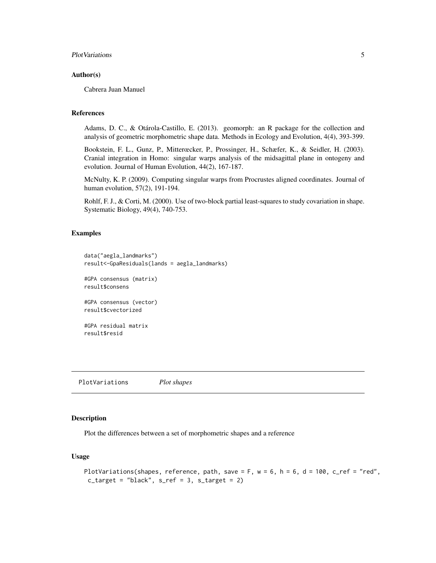## <span id="page-4-0"></span>PlotVariations 5

#### Author(s)

Cabrera Juan Manuel

## References

Adams, D. C., & Otárola-Castillo, E. (2013). geomorph: an R package for the collection and analysis of geometric morphometric shape data. Methods in Ecology and Evolution, 4(4), 393-399.

Bookstein, F. L., Gunz, P., Mitterœcker, P., Prossinger, H., Schæfer, K., & Seidler, H. (2003). Cranial integration in Homo: singular warps analysis of the midsagittal plane in ontogeny and evolution. Journal of Human Evolution, 44(2), 167-187.

McNulty, K. P. (2009). Computing singular warps from Procrustes aligned coordinates. Journal of human evolution, 57(2), 191-194.

Rohlf, F. J., & Corti, M. (2000). Use of two-block partial least-squares to study covariation in shape. Systematic Biology, 49(4), 740-753.

## Examples

```
data("aegla_landmarks")
result<-GpaResiduals(lands = aegla_landmarks)
```
#GPA consensus (matrix) result\$consens

```
#GPA consensus (vector)
result$cvectorized
```

```
#GPA residual matrix
result$resid
```
PlotVariations *Plot shapes*

## Description

Plot the differences between a set of morphometric shapes and a reference

## Usage

```
PlotVariations(shapes, reference, path, save = F, w = 6, h = 6, d = 100, c_ref = "red",
 c_{\text{target}} = "black", s_{\text{ref}} = 3, s_{\text{target}} = 2)
```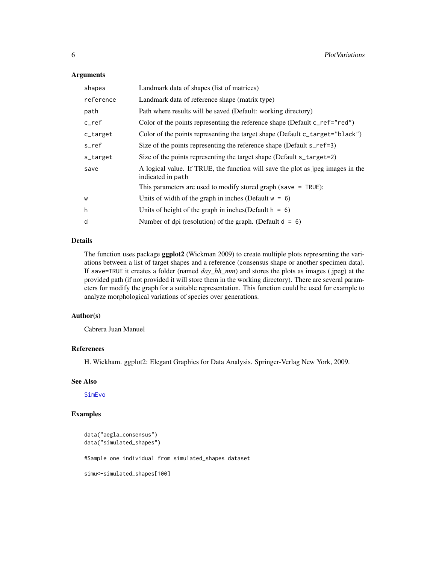### <span id="page-5-0"></span>Arguments

| shapes    | Landmark data of shapes (list of matrices)                                                           |
|-----------|------------------------------------------------------------------------------------------------------|
| reference | Landmark data of reference shape (matrix type)                                                       |
| path      | Path where results will be saved (Default: working directory)                                        |
| $c$ _ref  | Color of the points representing the reference shape (Default c_ref="red")                           |
| c_target  | Color of the points representing the target shape (Default c_target="black")                         |
| s ref     | Size of the points representing the reference shape (Default s_ref=3)                                |
| s_target  | Size of the points representing the target shape (Default s_target=2)                                |
| save      | A logical value. If TRUE, the function will save the plot as jpeg images in the<br>indicated in path |
|           | This parameters are used to modify stored graph (save $=$ TRUE):                                     |
| W         | Units of width of the graph in inches (Default $w = 6$ )                                             |
| h         | Units of height of the graph in inches (Default $h = 6$ )                                            |
| d         | Number of dpi (resolution) of the graph. (Default $d = 6$ )                                          |

## Details

The function uses package ggplot2 (Wickman 2009) to create multiple plots representing the variations between a list of target shapes and a reference (consensus shape or another specimen data). If save=TRUE it creates a folder (named *day\_hh\_mm*) and stores the plots as images (.jpeg) at the provided path (if not provided it will store them in the working directory). There are several parameters for modify the graph for a suitable representation. This function could be used for example to analyze morphological variations of species over generations.

## Author(s)

Cabrera Juan Manuel

## References

H. Wickham. ggplot2: Elegant Graphics for Data Analysis. Springer-Verlag New York, 2009.

## See Also

[SimEvo](#page-8-1)

## Examples

```
data("aegla_consensus")
data("simulated_shapes")
```
#Sample one individual from simulated\_shapes dataset

simu<-simulated\_shapes[100]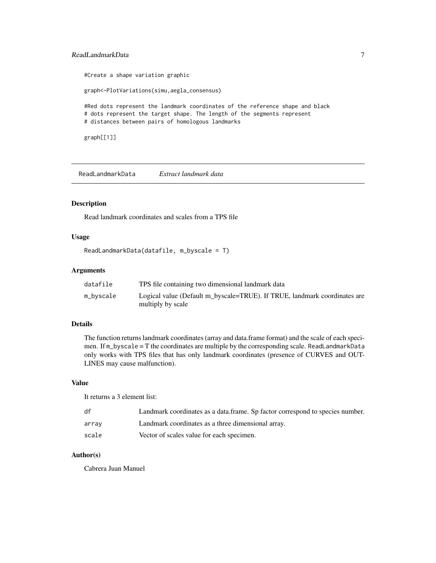## <span id="page-6-0"></span>ReadLandmarkData 7

#Create a shape variation graphic

graph<-PlotVariations(simu,aegla\_consensus)

#Red dots represent the landmark coordinates of the reference shape and black # dots represent the target shape. The length of the segments represent # distances between pairs of homologous landmarks

graph[[1]]

ReadLandmarkData *Extract landmark data*

## Description

Read landmark coordinates and scales from a TPS file

## Usage

```
ReadLandmarkData(datafile, m_byscale = T)
```
## Arguments

| datafile  | TPS file containing two dimensional landmark data                                              |
|-----------|------------------------------------------------------------------------------------------------|
| m_byscale | Logical value (Default m_byscale=TRUE). If TRUE, landmark coordinates are<br>multiply by scale |

## Details

The function returns landmark coordinates (array and data.frame format) and the scale of each specimen. If m\_byscale = T the coordinates are multiple by the corresponding scale. ReadLandmarkData only works with TPS files that has only landmark coordinates (presence of CURVES and OUT-LINES may cause malfunction).

### Value

It returns a 3 element list:

| df    | Landmark coordinates as a data.frame. Sp factor correspond to species number. |
|-------|-------------------------------------------------------------------------------|
| arrav | Landmark coordinates as a three dimensional array.                            |
| scale | Vector of scales value for each specimen.                                     |

## Author(s)

Cabrera Juan Manuel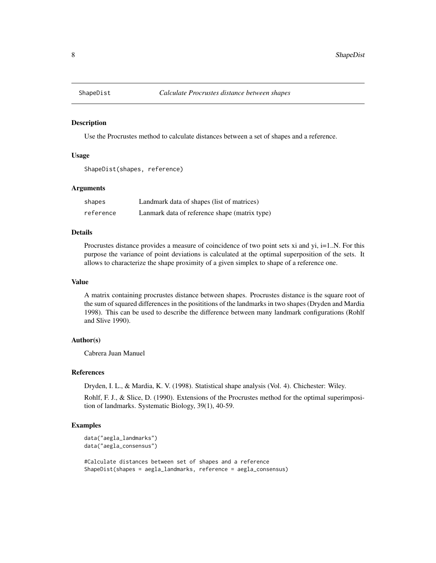<span id="page-7-0"></span>

Use the Procrustes method to calculate distances between a set of shapes and a reference.

## Usage

```
ShapeDist(shapes, reference)
```
#### **Arguments**

| shapes    | Landmark data of shapes (list of matrices)    |
|-----------|-----------------------------------------------|
| reference | Lanmark data of reference shape (matrix type) |

## Details

Procrustes distance provides a measure of coincidence of two point sets xi and yi, i=1..N. For this purpose the variance of point deviations is calculated at the optimal superposition of the sets. It allows to characterize the shape proximity of a given simplex to shape of a reference one.

## Value

A matrix containing procrustes distance between shapes. Procrustes distance is the square root of the sum of squared differences in the posititions of the landmarks in two shapes (Dryden and Mardia 1998). This can be used to describe the difference between many landmark configurations (Rohlf and Slive 1990).

## Author(s)

Cabrera Juan Manuel

## References

Dryden, I. L., & Mardia, K. V. (1998). Statistical shape analysis (Vol. 4). Chichester: Wiley.

Rohlf, F. J., & Slice, D. (1990). Extensions of the Procrustes method for the optimal superimposition of landmarks. Systematic Biology, 39(1), 40-59.

#### Examples

```
data("aegla_landmarks")
data("aegla_consensus")
```
#Calculate distances between set of shapes and a reference ShapeDist(shapes = aegla\_landmarks, reference = aegla\_consensus)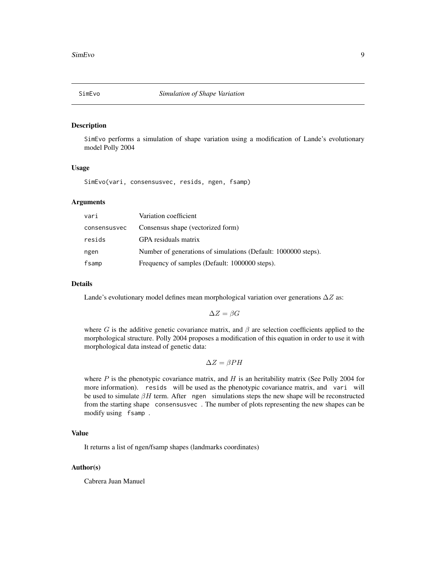<span id="page-8-1"></span><span id="page-8-0"></span>

SimEvo performs a simulation of shape variation using a modification of Lande's evolutionary model Polly 2004

## Usage

SimEvo(vari, consensusvec, resids, ngen, fsamp)

## Arguments

| vari         | Variation coefficient                                          |
|--------------|----------------------------------------------------------------|
| consensusvec | Consensus shape (vectorized form)                              |
| resids       | GPA residuals matrix                                           |
| ngen         | Number of generations of simulations (Default: 1000000 steps). |
| fsamp        | Frequency of samples (Default: 1000000 steps).                 |

#### Details

Lande's evolutionary model defines mean morphological variation over generations  $\Delta Z$  as:

$$
\Delta Z = \beta G
$$

where G is the additive genetic covariance matrix, and  $\beta$  are selection coefficients applied to the morphological structure. Polly 2004 proposes a modification of this equation in order to use it with morphological data instead of genetic data:

$$
\Delta Z = \beta PH
$$

where  $P$  is the phenotypic covariance matrix, and  $H$  is an heritability matrix (See Polly 2004 for more information). resids will be used as the phenotypic covariance matrix, and vari will be used to simulate  $\beta H$  term. After ngen simulations steps the new shape will be reconstructed from the starting shape consensusvec . The number of plots representing the new shapes can be modify using fsamp .

#### Value

It returns a list of ngen/fsamp shapes (landmarks coordinates)

#### Author(s)

Cabrera Juan Manuel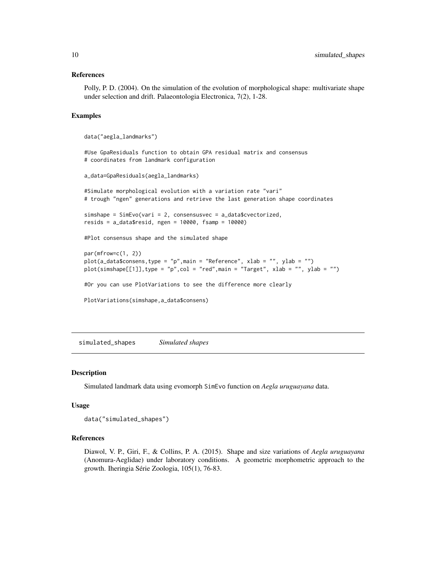#### <span id="page-9-0"></span>References

Polly, P. D. (2004). On the simulation of the evolution of morphological shape: multivariate shape under selection and drift. Palaeontologia Electronica, 7(2), 1-28.

## Examples

```
data("aegla_landmarks")
```
#Use GpaResiduals function to obtain GPA residual matrix and consensus # coordinates from landmark configuration

```
a_data=GpaResiduals(aegla_landmarks)
```
#Simulate morphological evolution with a variation rate "vari" # trough "ngen" generations and retrieve the last generation shape coordinates

```
simshape = SimEvo(vari = 2, consensusvec = a_data$cvectorized,
resids = a_data$resid, ngen = 10000, fsamp = 10000)
```
#Plot consensus shape and the simulated shape

```
par(mfrow=c(1, 2))plot(a_data$consens,type = "p",main = "Reference", xlab = "", ylab = "")
plot(simshape[[1]],type = "p",col = "red",main = "Target", xlabel = "", ylab = "")
```
#Or you can use PlotVariations to see the difference more clearly

```
PlotVariations(simshape,a_data$consens)
```
simulated\_shapes *Simulated shapes*

#### Description

Simulated landmark data using evomorph SimEvo function on *Aegla uruguayana* data.

#### Usage

data("simulated\_shapes")

## References

Diawol, V. P., Giri, F., & Collins, P. A. (2015). Shape and size variations of *Aegla uruguayana* (Anomura-Aeglidae) under laboratory conditions. A geometric morphometric approach to the growth. Iheringia Série Zoologia, 105(1), 76-83.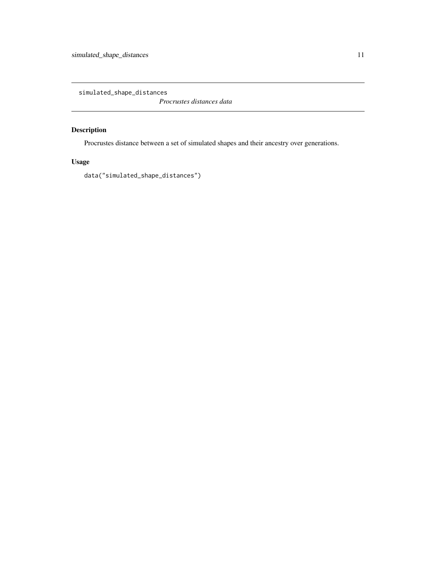<span id="page-10-0"></span>simulated\_shape\_distances

*Procrustes distances data*

## Description

Procrustes distance between a set of simulated shapes and their ancestry over generations.

## Usage

data("simulated\_shape\_distances")